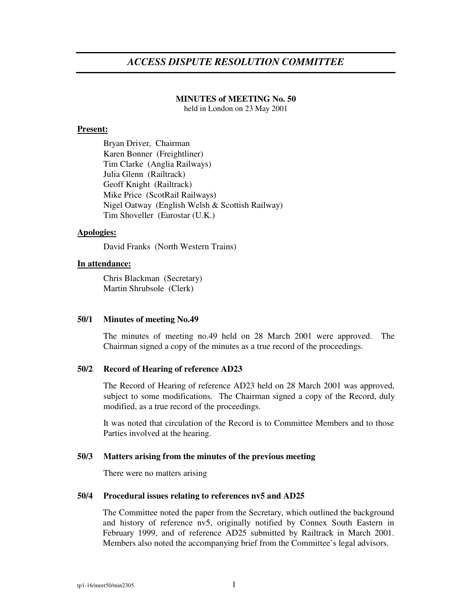# *ACCESS DISPUTE RESOLUTION COMMITTEE*

# **MINUTES of MEETING No. 50**

held in London on 23 May 2001

## **Present:**

Bryan Driver, Chairman Karen Bonner (Freightliner) Tim Clarke (Anglia Railways) Julia Glenn (Railtrack) Geoff Knight (Railtrack) Mike Price (ScotRail Railways) Nigel Oatway (English Welsh & Scottish Railway) Tim Shoveller (Eurostar (U.K.)

# **Apologies:**

David Franks (North Western Trains)

## **In attendance:**

Chris Blackman (Secretary) Martin Shrubsole (Clerk)

#### **50/1 Minutes of meeting No.49**

The minutes of meeting no.49 held on 28 March 2001 were approved. The Chairman signed a copy of the minutes as a true record of the proceedings.

# **50/2 Record of Hearing of reference AD23**

The Record of Hearing of reference AD23 held on 28 March 2001 was approved, subject to some modifications. The Chairman signed a copy of the Record, duly modified, as a true record of the proceedings.

It was noted that circulation of the Record is to Committee Members and to those Parties involved at the hearing.

#### **50/3 Matters arising from the minutes of the previous meeting**

There were no matters arising

#### **50/4 Procedural issues relating to references nv5 and AD25**

The Committee noted the paper from the Secretary, which outlined the background and history of reference nv5, originally notified by Connex South Eastern in February 1999, and of reference AD25 submitted by Railtrack in March 2001. Members also noted the accompanying brief from the Committee's legal advisors.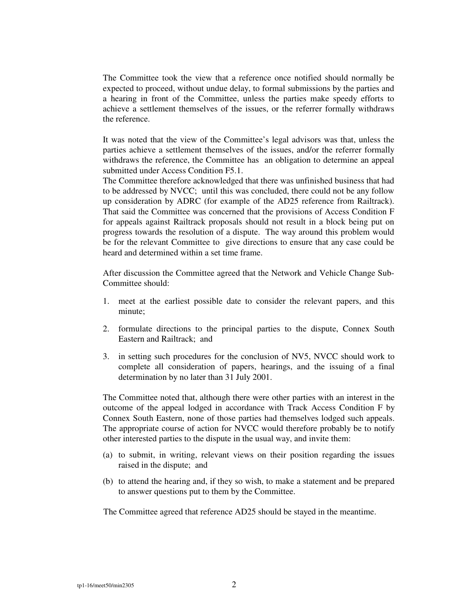The Committee took the view that a reference once notified should normally be expected to proceed, without undue delay, to formal submissions by the parties and a hearing in front of the Committee, unless the parties make speedy efforts to achieve a settlement themselves of the issues, or the referrer formally withdraws the reference.

It was noted that the view of the Committee's legal advisors was that, unless the parties achieve a settlement themselves of the issues, and/or the referrer formally withdraws the reference, the Committee has an obligation to determine an appeal submitted under Access Condition F5.1.

The Committee therefore acknowledged that there was unfinished business that had to be addressed by NVCC; until this was concluded, there could not be any follow up consideration by ADRC (for example of the AD25 reference from Railtrack). That said the Committee was concerned that the provisions of Access Condition F for appeals against Railtrack proposals should not result in a block being put on progress towards the resolution of a dispute. The way around this problem would be for the relevant Committee to give directions to ensure that any case could be heard and determined within a set time frame.

After discussion the Committee agreed that the Network and Vehicle Change Sub-Committee should:

- 1. meet at the earliest possible date to consider the relevant papers, and this minute;
- 2. formulate directions to the principal parties to the dispute, Connex South Eastern and Railtrack; and
- 3. in setting such procedures for the conclusion of NV5, NVCC should work to complete all consideration of papers, hearings, and the issuing of a final determination by no later than 31 July 2001.

The Committee noted that, although there were other parties with an interest in the outcome of the appeal lodged in accordance with Track Access Condition F by Connex South Eastern, none of those parties had themselves lodged such appeals. The appropriate course of action for NVCC would therefore probably be to notify other interested parties to the dispute in the usual way, and invite them:

- (a) to submit, in writing, relevant views on their position regarding the issues raised in the dispute; and
- (b) to attend the hearing and, if they so wish, to make a statement and be prepared to answer questions put to them by the Committee.

The Committee agreed that reference AD25 should be stayed in the meantime.